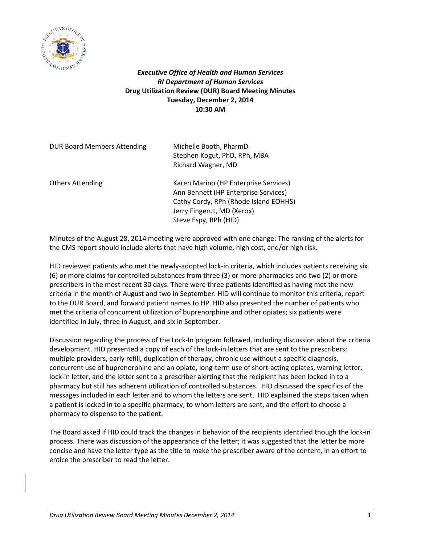

*Executive Office of Health and Human Services RI Department of Human Services* **Drug Utilization Review (DUR) Board Meeting Minutes Tuesday, December 2, 2014 10:30 AM**

| <b>DUR Board Members Attending</b> | Michelle Booth, PharmD<br>Stephen Kogut, PhD, RPh, MBA<br>Richard Wagner, MD                                                                                                  |
|------------------------------------|-------------------------------------------------------------------------------------------------------------------------------------------------------------------------------|
| <b>Others Attending</b>            | Karen Marino (HP Enterprise Services)<br>Ann Bennett (HP Enterprise Services)<br>Cathy Cordy, RPh (Rhode Island EOHHS)<br>Jerry Fingerut, MD (Xerox)<br>Steve Espy, RPh (HID) |

Minutes of the August 28, 2014 meeting were approved with one change: The ranking of the alerts for the CMS report should include alerts that have high volume, high cost, and/or high risk.

HID reviewed patients who met the newly-adopted lock-in criteria, which includes patients receiving six (6) or more claims for controlled substances from three (3) or more pharmacies and two (2) or more prescribers in the most recent 30 days. There were three patients identified as having met the new criteria in the month of August and two in September. HID will continue to monitor this criteria, report to the DUR Board, and forward patient names to HP. HID also presented the number of patients who met the criteria of concurrent utilization of buprenorphine and other opiates; six patients were identified in July, three in August, and six in September.

Discussion regarding the process of the Lock-In program followed, including discussion about the criteria development. HID presented a copy of each of the lock-in letters that are sent to the prescribers: multiple providers, early refill, duplication of therapy, chronic use without a specific diagnosis, concurrent use of buprenorphine and an opiate, long-term use of short-acting opiates, warning letter, lock-in letter, and the letter sent to a prescriber alerting that the recipient has been locked in to a pharmacy but still has adherent utilization of controlled substances. HID discussed the specifics of the messages included in each letter and to whom the letters are sent. HID explained the steps taken when a patient is locked in to a specific pharmacy, to whom letters are sent, and the effort to choose a pharmacy to dispense to the patient.

The Board asked if HID could track the changes in behavior of the recipients identified though the lock-in process. There was discussion of the appearance of the letter; it was suggested that the letter be more concise and have the letter type as the title to make the prescriber aware of the content, in an effort to entice the prescriber to read the letter.